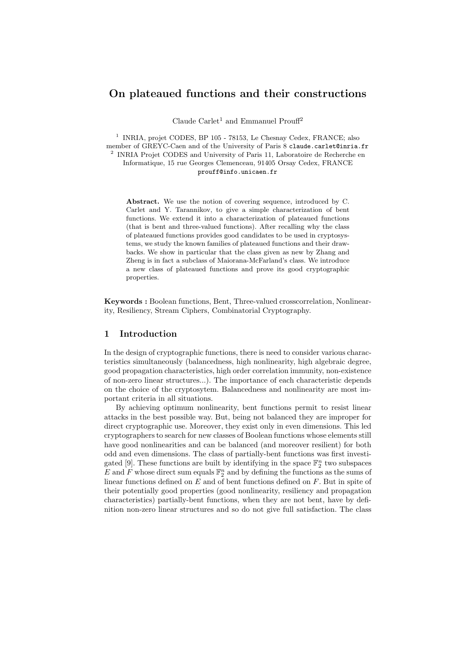# On plateaued functions and their constructions

Claude Carlet<sup>1</sup> and Emmanuel Prouff<sup>2</sup>

1 INRIA, projet CODES, BP 105 - 78153, Le Chesnay Cedex, FRANCE; also member of GREYC-Caen and of the University of Paris 8 claude.carlet@inria.fr 2 INRIA Projet CODES and University of Paris 11, Laboratoire de Recherche en Informatique, 15 rue Georges Clemenceau, 91405 Orsay Cedex, FRANCE prouff@info.unicaen.fr

Abstract. We use the notion of covering sequence, introduced by C. Carlet and Y. Tarannikov, to give a simple characterization of bent functions. We extend it into a characterization of plateaued functions (that is bent and three-valued functions). After recalling why the class of plateaued functions provides good candidates to be used in cryptosystems, we study the known families of plateaued functions and their drawbacks. We show in particular that the class given as new by Zhang and Zheng is in fact a subclass of Maiorana-McFarland's class. We introduce a new class of plateaued functions and prove its good cryptographic properties.

Keywords : Boolean functions, Bent, Three-valued crosscorrelation, Nonlinearity, Resiliency, Stream Ciphers, Combinatorial Cryptography.

# 1 Introduction

In the design of cryptographic functions, there is need to consider various characteristics simultaneously (balancedness, high nonlinearity, high algebraic degree, good propagation characteristics, high order correlation immunity, non-existence of non-zero linear structures...). The importance of each characteristic depends on the choice of the cryptosytem. Balancedness and nonlinearity are most important criteria in all situations.

By achieving optimum nonlinearity, bent functions permit to resist linear attacks in the best possible way. But, being not balanced they are improper for direct cryptographic use. Moreover, they exist only in even dimensions. This led cryptographersto search for new classes of Boolean functions whose elements still have good nonlinearities and can be balanced (and moreover resilient) for both odd and even dimensions. The class of partially-bent functions was first investigated [9]. These functions are built by identifying in the space  $\mathbb{F}_2^n$  two subspaces E and F whose direct sum equals  $\mathbb{F}_2^n$  and by defining the functions as the sums of linear functions defined on  $E$  and of bent functions defined on  $F$ . But in spite of their potentially good properties (good nonlinearity, resiliency and propagation characteristics) partially-bent functions, when they are not bent, have by definition non-zero linear structures and so do not give full satisfaction. The class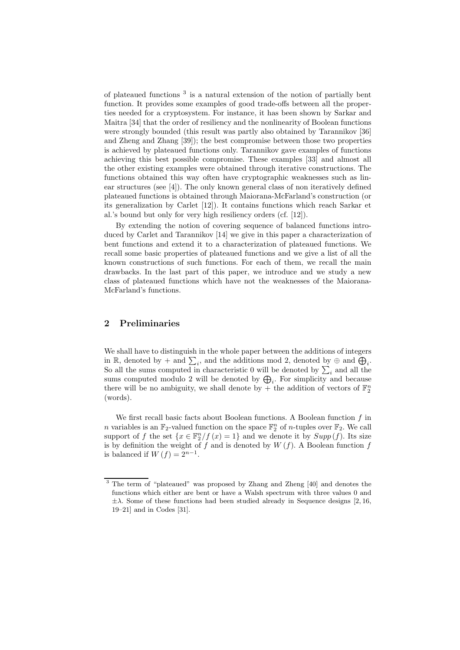of plateaued functions <sup>3</sup> is a natural extension of the notion of partially bent function. It provides some examples of good trade-offs between all the properties needed for a cryptosystem. For instance, it has been shown by Sarkar and Maitra [34] that the order of resiliency and the nonlinearity of Boolean functions were strongly bounded (this result was partly also obtained by Tarannikov [36] and Zheng and Zhang [39]); the best compromise between those two properties is achieved by plateaued functions only. Tarannikov gave examples of functions achieving this best possible compromise. These examples [33] and almost all the other existing examples were obtained through iterative constructions. The functions obtained this way often have cryptographic weaknesses such as linear structures (see [4]). The only known general class of non iteratively defined plateaued functions is obtained through Maiorana-McFarland's construction (or its generalization by Carlet [12]). It contains functions which reach Sarkar et al.'s bound but only for very high resiliency orders (cf. [12]).

By extending the notion of covering sequence of balanced functions introduced by Carlet and Tarannikov [14] we give in this paper a characterization of bent functions and extend it to a characterization of plateaued functions. We recall some basic properties of plateaued functions and we give a list of all the known constructions of such functions. For each of them, we recall the main drawbacks. In the last part of this paper, we introduce and we study a new class of plateaued functions which have not the weaknesses of the Maiorana-McFarland's functions.

## 2 Preliminaries

We shall have to distinguish in the whole paper between the additions of integers in R, denoted by + and  $\sum_i$ , and the additions mod 2, denoted by  $\oplus$  and  $\bigoplus_i$ . So all the sums computed in characteristic 0 will be denoted by  $\sum_i$  and all the sums computed modulo 2 will be denoted by  $\bigoplus_i$ . For simplicity and because there will be no ambiguity, we shall denote by  $+$  the addition of vectors of  $\mathbb{F}_2^n$ (words).

We first recall basic facts about Boolean functions. A Boolean function  $f$  in n variables is an  $\mathbb{F}_2$ -valued function on the space  $\mathbb{F}_2^n$  of n-tuples over  $\mathbb{F}_2$ . We call support of f the set  $\{x \in \mathbb{F}_2^n / f(x) = 1\}$  and we denote it by  $Supp(f)$ . Its size is by definition the weight of f and is denoted by  $W(f)$ . A Boolean function f is balanced if  $W(f) = 2^{n-1}$ .

<sup>3</sup> The term of "plateaued" was proposed by Zhang and Zheng [40] and denotes the functions which either are bent or have a Walsh spectrum with three values 0 and  $\pm \lambda$ . Some of these functions had been studied already in Sequence designs [2, 16, 19–21] and in Codes [31].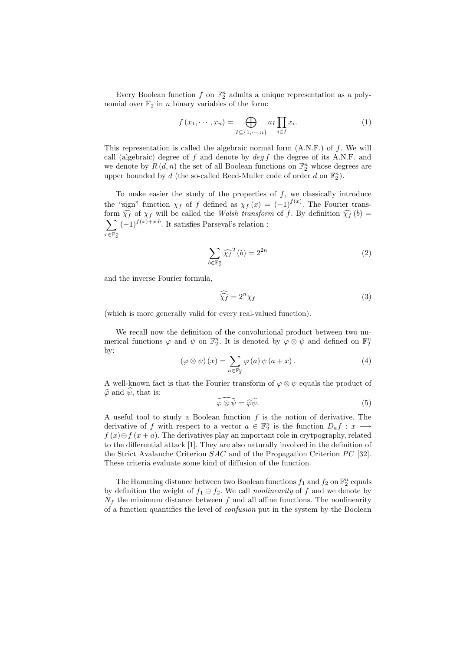Every Boolean function  $f$  on  $\mathbb{F}_2^n$  admits a unique representation as a polynomial over  $\mathbb{F}_2$  in *n* binary variables of the form:

$$
f(x_1, \dots, x_n) = \bigoplus_{I \subseteq \{1, \dots, n\}} a_I \prod_{i \in I} x_i.
$$
 (1)

This representation is called the algebraic normal form  $(A.N.F.)$  of  $f.$  We will call (algebraic) degree of f and denote by  $\deg f$  the degree of its A.N.F. and we denote by  $R(d, n)$  the set of all Boolean functions on  $\mathbb{F}_2^n$  whose degrees are upper bounded by d (the so-called Reed-Muller code of order d on  $\mathbb{F}_2^n$ ).

To make easier the study of the properties of  $f$ , we classically introduce the "sign" function  $\chi_f$  of f defined as  $\chi_f(x) = (-1)^{f(x)}$ . The Fourier transform  $\widehat{\chi}_f$  of  $\chi_f$  will be called the *Walsh transform* of f. By definition  $\widehat{\chi}_f$  (b) =  $\overline{\phantom{0}}$  $x \in \mathbb{F}_2^n$  $(-1)^{f(x)+x\cdot b}$ . It satisfies Parseval's relation :

$$
\sum_{b \in \mathbb{F}_2^n} \widehat{\chi_f}^2(b) = 2^{2n} \tag{2}
$$

and the inverse Fourier formula,

$$
\widehat{\widehat{\chi_f}} = 2^n \chi_f \tag{3}
$$

(which is more generally valid for every real-valued function).

We recall now the definition of the convolutional product between two numerical functions  $\varphi$  and  $\psi$  on  $\mathbb{F}_2^n$ . It is denoted by  $\varphi \otimes \psi$  and defined on  $\mathbb{F}_2^n$ by:

$$
(\varphi \otimes \psi)(x) = \sum_{a \in \mathbb{F}_2^n} \varphi(a) \psi(a+x).
$$
 (4)

A well-known fact is that the Fourier transform of  $\varphi \otimes \psi$  equals the product of  $\widehat{\varphi}$  and  $\widehat{\psi}$ , that is:

$$
\widehat{\varphi \otimes \psi} = \widehat{\varphi}\widehat{\psi}.\tag{5}
$$

A useful tool to study a Boolean function  $f$  is the notion of derivative. The derivative of f with respect to a vector  $a \in \mathbb{F}_2^n$  is the function  $D_a f : x \longrightarrow$  $f(x) \oplus f(x + a)$ . The derivatives play an important role in crytpography, related to the differential attack [1]. They are also naturally involved in the definition of the Strict Avalanche Criterion  $SAC$  and of the Propagation Criterion  $PC$  [32]. These criteria evaluate some kind of diffusion of the function.

The Hamming distance between two Boolean functions  $f_1$  and  $f_2$  on  $\mathbb{F}_2^n$  equals by definition the weight of  $f_1 \oplus f_2$ . We call *nonlinearity* of f and we denote by  $N_f$  the minimum distance between f and all affine functions. The nonlinearity of a function quantifies the level of confusion put in the system by the Boolean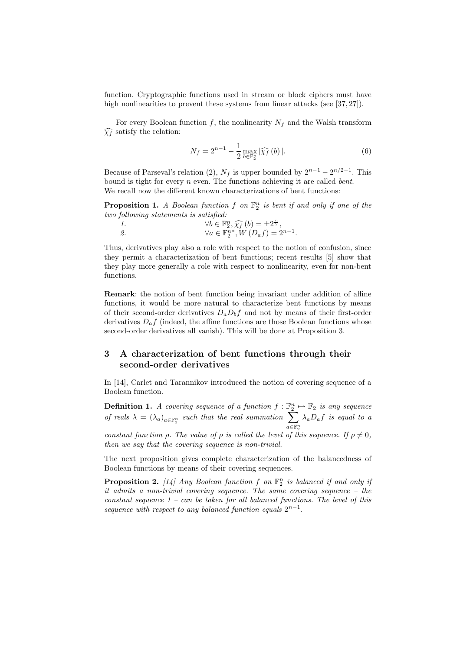function. Cryptographic functions used in stream or block ciphers must have high nonlinearities to prevent these systems from linear attacks (see [37, 27]).

For every Boolean function f, the nonlinearity  $N_f$  and the Walsh transform  $\widehat{\chi_f}$  satisfy the relation:

$$
N_f = 2^{n-1} - \frac{1}{2} \max_{b \in \mathbb{F}_2^n} |\widehat{\chi_f}(b)|.
$$
 (6)

Because of Parseval's relation (2),  $N_f$  is upper bounded by  $2^{n-1} - 2^{n/2-1}$ . This bound is tight for every  $n$  even. The functions achieving it are called *bent*. We recall now the different known characterizations of bent functions:

**Proposition 1.** A Boolean function f on  $\mathbb{F}_2^n$  is bent if and only if one of the two following statements is satisfied:

|      | $\forall b \in \mathbb{F}_2^n, \widehat{\chi_f}(b) = \pm 2^{\frac{n}{2}},$ |
|------|----------------------------------------------------------------------------|
|      |                                                                            |
| - 2. | $\forall a \in \mathbb{F}_2^{n*}, W(D_a f) = 2^{n-1}.$                     |
|      |                                                                            |

Thus, derivatives play also a role with respect to the notion of confusion, since they permit a characterization of bent functions; recent results [5] show that they play more generally a role with respect to nonlinearity, even for non-bent functions.

Remark: the notion of bent function being invariant under addition of affine functions, it would be more natural to characterize bent functions by means of their second-order derivatives  $D_a D_b f$  and not by means of their first-order derivatives  $D_a f$  (indeed, the affine functions are those Boolean functions whose second-order derivatives all vanish). This will be done at Proposition 3.

## 3 A characterization of bent functions through their second-order derivatives

In [14], Carlet and Tarannikov introduced the notion of covering sequence of a Boolean function.

**Definition 1.** A covering sequence of a function  $f : \mathbb{F}_2^n \mapsto \mathbb{F}_2$  is any sequence of reals  $\lambda = (\lambda_a)_{a \in \mathbb{F}_2^n}$  such that the real summation  $\sum$  $a \in \mathbb{F}_2^n$  $\lambda_a D_a f$  is equal to a

constant function  $\rho$ . The value of  $\rho$  is called the level of this sequence. If  $\rho \neq 0$ , then we say that the covering sequence is non-trivial.

The next proposition gives complete characterization of the balancedness of Boolean functions by means of their covering sequences.

**Proposition 2.** [14] Any Boolean function f on  $\mathbb{F}_2^n$  is balanced if and only if it admits a non-trivial covering sequence. The same covering sequence – the constant sequence  $1$  – can be taken for all balanced functions. The level of this sequence with respect to any balanced function equals  $2^{n-1}$ .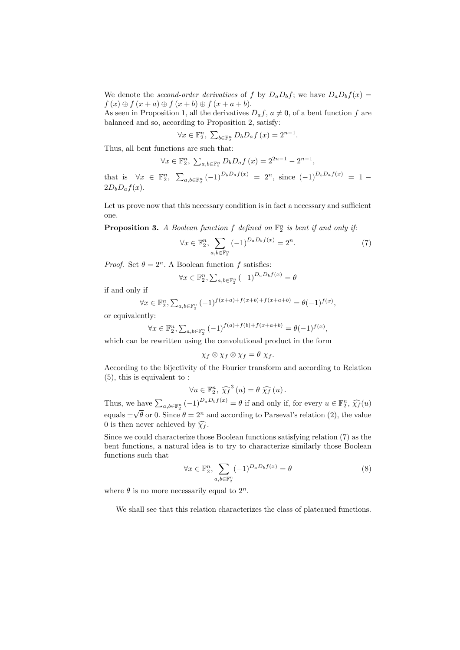We denote the second-order derivatives of f by  $D_a D_b f$ ; we have  $D_a D_b f(x) =$  $f(x) \oplus f(x + a) \oplus f(x + b) \oplus f(x + a + b).$ 

As seen in Proposition 1, all the derivatives  $D_a f$ ,  $a \neq 0$ , of a bent function f are balanced and so, according to Proposition 2, satisfy:

$$
\forall x \in \mathbb{F}_2^n, \ \sum_{b \in \mathbb{F}_2^n} D_b D_a f(x) = 2^{n-1}.
$$

Thus, all bent functions are such that:

$$
\forall x \in \mathbb{F}_2^n, \ \sum_{a,b \in \mathbb{F}_2^n} D_b D_a f(x) = 2^{2n-1} - 2^{n-1},
$$

that is  $\forall x \in \mathbb{F}_2^n$ ,  $\sum_{a,b \in \mathbb{F}_2^n} (-1)^{D_b D_a f(x)} = 2^n$ , since  $(-1)^{D_b D_a f(x)} = 1$  $2D_bD_a f(x)$ .

Let us prove now that this necessary condition is in fact a necessary and sufficient one.

**Proposition 3.** A Boolean function f defined on  $\mathbb{F}_2^n$  is bent if and only if:

$$
\forall x \in \mathbb{F}_2^n, \sum_{a,b \in \mathbb{F}_2^n} (-1)^{D_a D_b f(x)} = 2^n. \tag{7}
$$

*Proof.* Set  $\theta = 2^n$ . A Boolean function f satisfies:

$$
\forall x \in \mathbb{F}_2^n, \sum_{a,b \in \mathbb{F}_2^n} (-1)^{D_a D_b f(x)} = \theta
$$

if and only if

$$
\forall x \in \mathbb{F}_2^n, \sum_{a,b \in \mathbb{F}_2^n} (-1)^{f(x+a)+f(x+b)+f(x+a+b)} = \theta(-1)^{f(x)},
$$

or equivalently:

$$
\forall x \in \mathbb{F}_2^n, \sum_{a,b \in \mathbb{F}_2^n} (-1)^{f(a)+f(b)+f(x+a+b)} = \theta(-1)^{f(x)},
$$

which can be rewritten using the convolutional product in the form

$$
\chi_f\otimes \chi_f\otimes \chi_f=\theta\,\,\chi_f.
$$

According to the bijectivity of the Fourier transform and according to Relation (5), this is equivalent to :

$$
\forall u \in \mathbb{F}_2^n, \ \widehat{\chi_f}^3(u) = \theta \ \widehat{\chi_f}(u).
$$

Thus, we have  $\sum_{a,b\in\mathbb{F}_2^n} (-1)^{D_a D_b f(x)} = \theta$  if and only if, for every  $u \in \mathbb{F}_2^n$ ,  $\widehat{\chi}_f(u)$ equals  $\pm\sqrt{\theta}$  or 0. Since  $\theta = 2^n$  and according to Parseval's relation (2), the value 0 is then never achieved by  $\widehat{\chi}_f$ .

Since we could characterize those Boolean functions satisfying relation (7) as the bent functions, a natural idea is to try to characterize similarly those Boolean functions such that

$$
\forall x \in \mathbb{F}_2^n, \sum_{a,b \in \mathbb{F}_2^n} (-1)^{D_a D_b f(x)} = \theta \tag{8}
$$

where  $\theta$  is no more necessarily equal to  $2^n$ .

We shall see that this relation characterizes the class of plateaued functions.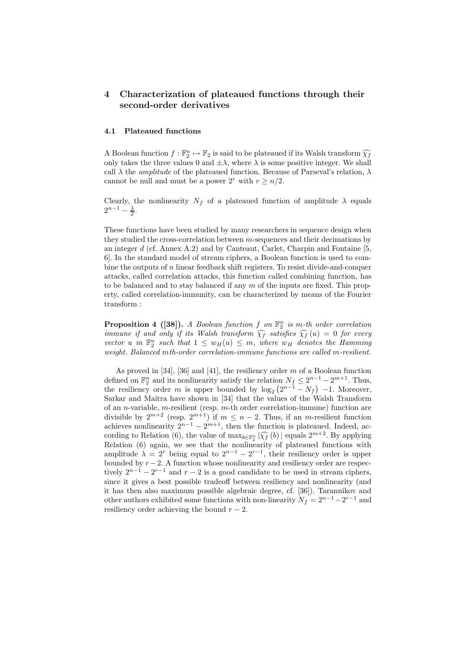# 4 Characterization of plateaued functions through their second-order derivatives

## 4.1 Plateaued functions

A Boolean function  $f : \mathbb{F}_2^n \mapsto \mathbb{F}_2$  is said to be plateaued if its Walsh transform  $\widehat{\chi}_f$ only takes the three values 0 and  $\pm \lambda$ , where  $\lambda$  is some positive integer. We shall call  $\lambda$  the *amplitude* of the plateaued function. Because of Parseval's relation,  $\lambda$ cannot be null and must be a power  $2^r$  with  $r \geq n/2$ .

Clearly, the nonlinearity  $N_f$  of a plateaued function of amplitude  $\lambda$  equals  $2^{n-1} - \frac{\lambda}{2}$ .

These functions have been studied by many researchers in sequence design when they studied the cross-correlation between  $m$ -sequences and their decimations by an integer d (cf. Annex A.2) and by Canteaut, Carlet, Charpin and Fontaine [5, 6]. In the standard model of stream ciphers, a Boolean function is used to combine the outputs of  $n$  linear feedback shift registers. To resist divide-and-conquer attacks, called correlation attacks, this function called combining function, has to be balanced and to stay balanced if any  $m$  of the inputs are fixed. This property, called correlation-immunity, can be characterized by means of the Fourier transform :

**Proposition 4** ([38]). A Boolean function f on  $\mathbb{F}_2^n$  is m-th order correlation immune if and only if its Walsh transform  $\widehat{\chi_f}$  satisfies  $\widehat{\chi_f}(u) = 0$  for every vector u in  $\mathbb{F}_2^n$  such that  $1 \leq w_H(u) \leq m$ , where  $w_H$  denotes the Hamming weight. Balanced mth-order correlation-immune functions are called m-resilient.

As proved in  $[34]$ ,  $[36]$  and  $[41]$ , the resiliency order m of a Boolean function defined on  $\mathbb{F}_2^n$  and its nonlinearity satisfy the relation  $N_f \leq 2^{n-1} - 2^{m+1}$ . Thus, the resiliency order m is upper bounded by  $\log_2(2^{n-1} - N_f)$  -1. Moreover, Sarkar and Maitra have shown in [34] that the values of the Walsh Transform of an n-variable, m-resilient (resp. m-th order correlation-immune) function are divisible by  $2^{m+2}$  (resp.  $2^{m+1}$ ) if  $m \leq n-2$ . Thus, if an *m*-resilient function achieves nonlinearity  $2^{n-1} - 2^{m+1}$ , then the function is plateaued. Indeed, according to Relation (6), the value of  $\max_{b \in \mathbb{F}_2^n} |\widehat{\chi}_f(b)|$  equals  $2^{m+2}$ . By applying Relation (6) again, we see that the nonlinearity of plateaued functions with amplitude  $\lambda = 2^r$  being equal to  $2^{n-1} - 2^{r-1}$ , their resiliency order is upper bounded by  $r - 2$ . A function whose nonlinearity and resiliency order are respectively  $2^{n-1} - 2^{r-1}$  and  $r - 2$  is a good candidate to be used in stream ciphers, since it gives a best possible tradeoff between resiliency and nonlinearity (and it has then also maximum possible algebraic degree, cf. [36]). Tarannikov and other authors exhibited some functions with non-linearity  $N_f = 2^{n-1} - 2^{r-1}$  and resiliency order achieving the bound  $r - 2$ .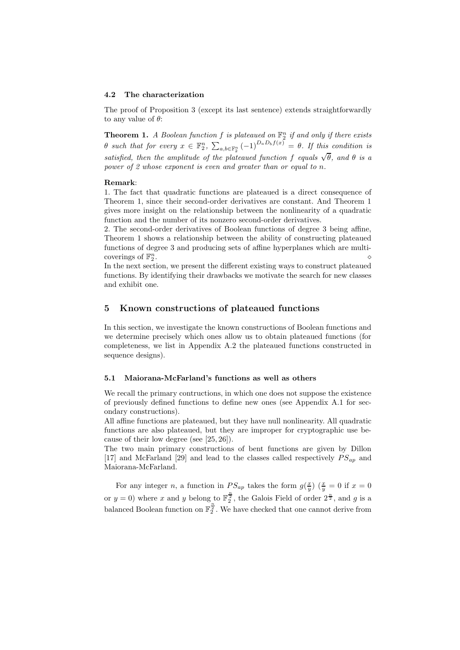#### 4.2 The characterization

The proof of Proposition 3 (except its last sentence) extends straightforwardly to any value of  $\theta$ :

**Theorem 1.** A Boolean function f is plateaued on  $\mathbb{F}_2^n$  if and only if there exists  $\theta$  such that for every  $x \in \mathbb{F}_2^n$ ,  $\sum_{a,b \in \mathbb{F}_2^n} (-1)^{D_a D_b f(x)} = \theta$ . If this condition is satisfied, then the amplitude of the plateaued function f equals  $\sqrt{\theta}$ , and  $\theta$  is a power of 2 whose exponent is even and greater than or equal to n.

## Remark:

1. The fact that quadratic functions are plateaued is a direct consequence of Theorem 1, since their second-order derivatives are constant. And Theorem 1 gives more insight on the relationship between the nonlinearity of a quadratic function and the number of its nonzero second-order derivatives.

2. The second-order derivatives of Boolean functions of degree 3 being affine, Theorem 1 shows a relationship between the ability of constructing plateaued functions of degree 3 and producing sets of affine hyperplanes which are multicoverings of  $\mathbb{F}_2^n$ .

In the next section, we present the different existing ways to construct plateaued functions. By identifying their drawbacks we motivate the search for new classes and exhibit one.

## 5 Known constructions of plateaued functions

In this section, we investigate the known constructions of Boolean functions and we determine precisely which ones allow us to obtain plateaued functions (for completeness, we list in Appendix A.2 the plateaued functions constructed in sequence designs).

## 5.1 Maiorana-McFarland's functions as well as others

We recall the primary contructions, in which one does not suppose the existence of previously defined functions to define new ones (see Appendix A.1 for secondary constructions).

All affine functions are plateaued, but they have null nonlinearity. All quadratic functions are also plateaued, but they are improper for cryptographic use because of their low degree (see [25, 26]).

The two main primary constructions of bent functions are given by Dillon [17] and McFarland [29] and lead to the classes called respectively  $PS_{ap}$  and Maiorana-McFarland.

For any integer n, a function in  $PS_{ap}$  takes the form  $g(\frac{x}{y})$   $(\frac{x}{y} = 0$  if  $x = 0$ or  $y = 0$ ) where x and y belong to  $\mathbb{F}_2^{\frac{n}{2}}$ , the Galois Field of order  $2^{\frac{n}{2}}$ , and g is a balanced Boolean function on  $\mathbb{F}_2^{\frac{n}{2}}$ . We have checked that one cannot derive from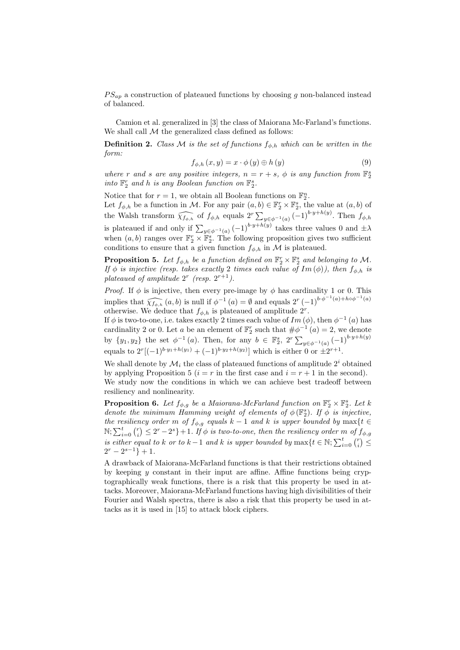$PS_{ap}$  a construction of plateaued functions by choosing g non-balanced instead of balanced.

Camion et al. generalized in [3] the class of Maiorana Mc-Farland's functions. We shall call  $\mathcal M$  the generalized class defined as follows:

**Definition 2.** Class M is the set of functions  $f_{\phi,h}$  which can be written in the form:

$$
f_{\phi,h}(x,y) = x \cdot \phi(y) \oplus h(y) \tag{9}
$$

where r and s are any positive integers,  $n = r + s$ ,  $\phi$  is any function from  $\mathbb{F}_2^s$ into  $\mathbb{F}_2^r$  and h is any Boolean function on  $\mathbb{F}_2^s$ .

Notice that for  $r = 1$ , we obtain all Boolean functions on  $\mathbb{F}_2^n$ .

Let  $f_{\phi,h}$  be a function in M. For any pair  $(a,b) \in \mathbb{F}_2^r \times \mathbb{F}_2^s$ , the value at  $(a,b)$  of the Walsh transform  $\widehat{\chi_{f_{\phi,h}}}$  of  $f_{\phi,h}$  equals  $2^r \sum_{y \in \phi^{-1}(a)} (-1)^{b \cdot y + h(y)}$ . Then  $f_{\phi,h}$ is plateaued if and only if  $\sum_{y \in \phi^{-1}(a)} (-1)^{b \cdot y + h(y)}$  takes three values 0 and  $\pm \lambda$ when  $(a, b)$  ranges over  $\mathbb{F}_2^r \times \mathbb{F}_2^s$ . The following proposition gives two sufficient conditions to ensure that a given function  $f_{\phi,h}$  in M is plateaued.

**Proposition 5.** Let  $f_{\phi,h}$  be a function defined on  $\mathbb{F}_2^r \times \mathbb{F}_2^s$  and belonging to M. If  $\phi$  is injective (resp. takes exactly 2 times each value of Im ( $\phi$ )), then  $f_{\phi,h}$  is plateaued of amplitude  $2^r$  (resp.  $2^{r+1}$ ).

*Proof.* If  $\phi$  is injective, then every pre-image by  $\phi$  has cardinality 1 or 0. This implies that  $\widehat{\chi_{f_{\phi,h}}}(a, b)$  is null if  $\phi^{-1}(a) = \emptyset$  and equals  $2^r (-1)^{b \cdot \phi^{-1}(a) + h \circ \phi^{-1}(a)}$ otherwise. We deduce that  $f_{\phi,h}$  is plateaued of amplitude  $2^r$ .

If  $\phi$  is two-to-one, i.e. takes exactly 2 times each value of  $Im(\phi)$ , then  $\phi^{-1}(a)$  has cardinality 2 or 0. Let a be an element of  $\mathbb{F}_2^r$  such that  $\#\phi^{-1}(a) = 2$ , we denote by  $\{y_1, y_2\}$  the set  $\phi^{-1}(a)$ . Then, for any  $b \in \mathbb{F}_2^s$ ,  $2^r \sum_{y \in \phi^{-1}(a)} (-1)^{b \cdot y + h(y)}$ equals to  $2^r[(-1)^{b\cdot y_1+h(y_1)}+(-1)^{b\cdot y_2+h(y_2)}]$  which is either 0 or  $\pm 2^{r+1}$ .

We shall denote by  $\mathcal{M}_i$  the class of plateaued functions of amplitude  $2^i$  obtained by applying Proposition 5 ( $i = r$  in the first case and  $i = r + 1$  in the second). We study now the conditions in which we can achieve best tradeoff between resiliency and nonlinearity.

**Proposition 6.** Let  $f_{\phi,g}$  be a Maiorana-McFarland function on  $\mathbb{F}_2^r \times \mathbb{F}_2^s$ . Let k denote the minimum Hamming weight of elements of  $\phi(\mathbb{F}_2^s)$ . If  $\overline{\phi}$  is injective, the resiliency order m of  $f_{\phi,g}$  equals  $k-1$  and k is upper bounded by  $\max\{t \in$  $\mathbb{N}; \sum_{i=0}^t \binom{r}{i} \leq 2^r - 2^s \} + 1.$  If  $\phi$  is two-to-one, then the resiliency order m of  $f_{\phi,g}$ is either equal to k or to  $k-1$  and k is upper bounded by  $\max\{t \in \mathbb{N}; \sum_{i=0}^{t} {r \choose i} \le$  $2^r - 2^{s-1}$  + 1.

A drawback of Maiorana-McFarland functions is that their restrictions obtained by keeping  $y$  constant in their input are affine. Affine functions being cryptographically weak functions, there is a risk that this property be used in attacks. Moreover, Maiorana-McFarland functions having high divisibilities of their Fourier and Walsh spectra, there is also a risk that this property be used in attacks as it is used in [15] to attack block ciphers.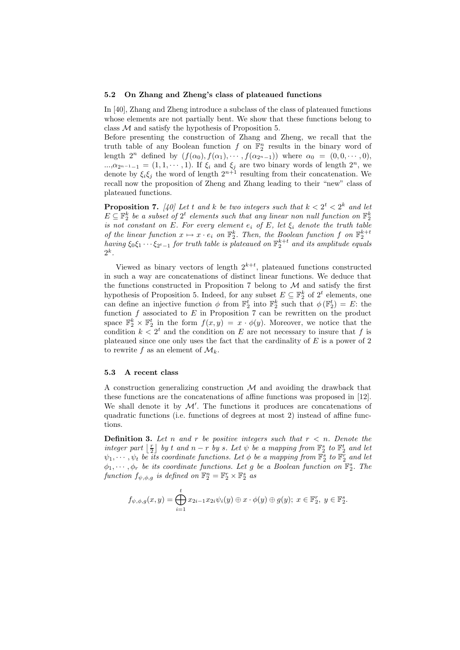#### 5.2 On Zhang and Zheng's class of plateaued functions

In [40], Zhang and Zheng introduce a subclass of the class of plateaued functions whose elements are not partially bent. We show that these functions belong to class  $M$  and satisfy the hypothesis of Proposition 5.

Before presenting the construction of Zhang and Zheng, we recall that the truth table of any Boolean function  $f$  on  $\mathbb{F}_2^n$  results in the binary word of length  $2^n$  defined by  $(f(\alpha_0), f(\alpha_1), \cdots, f(\alpha_{2^n-1}))$  where  $\alpha_0 = (0, 0, \cdots, 0)$ ,  $\ldots, \alpha_{2^{n-1}-1} = (1, 1, \cdots, 1)$ . If  $\xi_i$  and  $\xi_j$  are two binary words of length  $2^n$ , we denote by  $\xi_i \xi_j$  the word of length  $2^{n+1}$  resulting from their concatenation. We recall now the proposition of Zheng and Zhang leading to their "new" class of plateaued functions.

**Proposition 7.** [40] Let t and k be two integers such that  $k < 2^t < 2^k$  and let  $E \subseteq \mathbb{F}_2^k$  be a subset of  $2^t$  elements such that any linear non null function on  $\mathbb{F}_2^k$ is not constant on E. For every element  $e_i$  of E, let  $\xi_i$  denote the truth table of the linear function  $x \mapsto x \cdot e_i$  on  $\mathbb{F}_2^k$ . Then, the Boolean function f on  $\mathbb{F}_2^{k+t}$ having  $\xi_0 \xi_1 \cdots \xi_{2^t-1}$  for truth table is plateaued on  $\mathbb{F}_2^{k+t}$  and its amplitude equals  $2^k$ .

Viewed as binary vectors of length  $2^{k+t}$ , plateaued functions constructed in such a way are concatenations of distinct linear functions. We deduce that the functions constructed in Proposition 7 belong to  $\mathcal M$  and satisfy the first hypothesis of Proposition 5. Indeed, for any subset  $E \subseteq \mathbb{F}_2^k$  of  $2^t$  elements, one can define an injective function  $\phi$  from  $\mathbb{F}_2^t$  into  $\mathbb{F}_2^k$  such that  $\phi(\mathbb{F}_2^t) = E$ : the function  $f$  associated to  $E$  in Proposition 7 can be rewritten on the product space  $\mathbb{F}_2^k \times \mathbb{F}_2^t$  in the form  $f(x, y) = x \cdot \phi(y)$ . Moreover, we notice that the condition  $k < 2<sup>t</sup>$  and the condition on E are not necessary to insure that f is plateaued since one only uses the fact that the cardinality of  $E$  is a power of 2 to rewrite f as an element of  $\mathcal{M}_k$ .

### 5.3 A recent class

A construction generalizing construction  $\mathcal M$  and avoiding the drawback that these functions are the concatenations of affine functions was proposed in [12]. We shall denote it by  $\mathcal{M}'$ . The functions it produces are concatenations of quadratic functions (i.e. functions of degrees at most 2) instead of affine functions.

**Definition 3.** Let n and r be positive integers such that  $r < n$ . Denote the integer part  $\lfloor \frac{r}{2} \rfloor$  by t and  $n-r$  by s. Let  $\psi$  be a mapping from  $\mathbb{F}_2^s$  to  $\mathbb{F}_2^t$  and let  $\psi_1, \dots, \psi_t$  be its coordinate functions. Let  $\phi$  be a mapping from  $\mathbb{F}_2^s$  to  $\mathbb{F}_2^r$  and let  $\phi_1, \dots, \phi_r$  be its coordinate functions. Let g be a Boolean function on  $\mathbb{F}_2^s$ . The function  $f_{\psi,\phi,g}$  is defined on  $\mathbb{F}_2^n = \mathbb{F}_2^r \times \mathbb{F}_2^s$  as

$$
f_{\psi,\phi,g}(x,y) = \bigoplus_{i=1}^t x_{2i-1}x_{2i}\psi_i(y) \oplus x \cdot \phi(y) \oplus g(y); \ x \in \mathbb{F}_2^r, \ y \in \mathbb{F}_2^s.
$$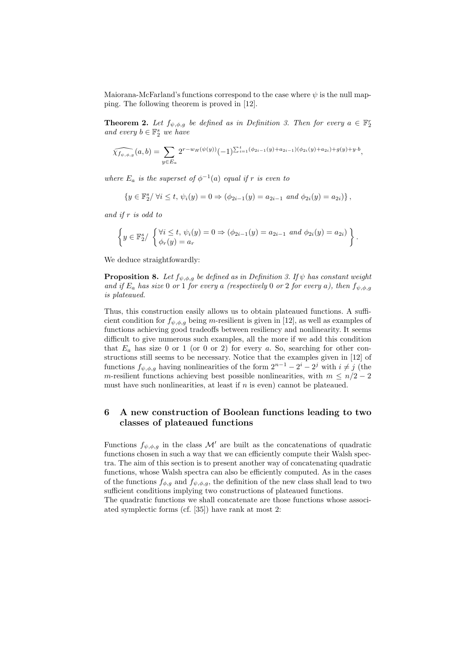Maiorana-McFarland's functions correspond to the case where  $\psi$  is the null mapping. The following theorem is proved in [12].

**Theorem 2.** Let  $f_{\psi,\phi,g}$  be defined as in Definition 3. Then for every  $a \in \mathbb{F}_2^r$ and every  $b \in \mathbb{F}_2^s$  we have

$$
\widehat{\chi_{f_{\psi,\phi,g}}}(a,b) = \sum_{y \in E_a} 2^{r-w_H(\psi(y))} (-1)^{\sum_{i=1}^t (\phi_{2i-1}(y) + a_{2i-1})(\phi_{2i}(y) + a_{2i}) + g(y) + y \cdot b},
$$

where  $E_a$  is the superset of  $\phi^{-1}(a)$  equal if r is even to

$$
\left\{y\in\mathbb{F}_2^s/\ \forall i\leq t,\, \psi_i(y)=0\Rightarrow \left(\phi_{2i-1}(y)=a_{2i-1}\ \text{ and } \phi_{2i}(y)=a_{2i}\right)\right\},
$$

and if r is odd to

$$
\left\{y\in\mathbb{F}_2^s/\left\{\begin{matrix} \forall i\leq t,\,\psi_i(y)=0\Rightarrow(\phi_{2i-1}(y)=a_{2i-1}\,\,and\,\,\phi_{2i}(y)=a_{2i})\\ \phi_r(y)=a_r\end{matrix}\right\}\right\}.
$$

We deduce straightfowardly:

**Proposition 8.** Let  $f_{\psi,\phi,q}$  be defined as in Definition 3. If  $\psi$  has constant weight and if  $E_a$  has size 0 or 1 for every a (respectively 0 or 2 for every a), then  $f_{\psi,\phi,q}$ is plateaued.

Thus, this construction easily allows us to obtain plateaued functions. A sufficient condition for  $f_{\psi,\phi,g}$  being m-resilient is given in [12], as well as examples of functions achieving good tradeoffs between resiliency and nonlinearity. It seems difficult to give numerous such examples, all the more if we add this condition that  $E_a$  has size 0 or 1 (or 0 or 2) for every a. So, searching for other constructions still seems to be necessary. Notice that the examples given in [12] of functions  $f_{\psi,\phi,g}$  having nonlinearities of the form  $2^{n-1} - 2^i - 2^j$  with  $i \neq j$  (the m-resilient functions achieving best possible nonlinearities, with  $m \leq n/2 - 2$ must have such nonlinearities, at least if  $n$  is even) cannot be plateaued.

# 6 A new construction of Boolean functions leading to two classes of plateaued functions

Functions  $f_{\psi,\phi,g}$  in the class M' are built as the concatenations of quadratic functions chosen in such a way that we can efficiently compute their Walsh spectra. The aim of this section is to present another way of concatenating quadratic functions, whose Walsh spectra can also be efficiently computed. As in the cases of the functions  $f_{\phi,g}$  and  $f_{\psi,\phi,g}$ , the definition of the new class shall lead to two sufficient conditions implying two constructions of plateaued functions.

The quadratic functions we shall concatenate are those functions whose associated symplectic forms (cf. [35]) have rank at most 2: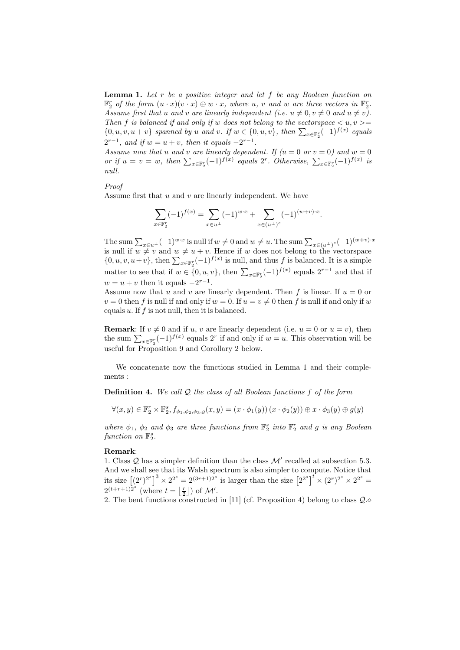**Lemma 1.** Let r be a positive integer and let f be any Boolean function on  $\mathbb{F}_2^r$  of the form  $(u \cdot x)(v \cdot x) \oplus w \cdot x$ , where u, v and w are three vectors in  $\mathbb{F}_2^r$ . Assume first that u and v are linearly independent (i.e.  $u \neq 0, v \neq 0$  and  $u \neq v$ ). Then f is balanced if and only if w does not belong to the vectorspace  $\langle u, v \rangle =$  $\{0, u, v, u + v\}$  spanned by u and v. If  $w \in \{0, u, v\}$ , then  $\sum_{x \in \mathbb{F}_2^r} (-1)^{f(x)}$  equals  $2^{r-1}$ , and if  $w = u + v$ , then it equals  $-2^{r-1}$ .

Assume now that u and v are linearly dependent. If  $(u = 0 \text{ or } v = 0)$  and  $w = 0$ or if  $u = v = w$ , then  $\sum_{x \in \mathbb{F}_2^r} (-1)^{f(x)}$  equals 2<sup>r</sup>. Otherwise,  $\sum_{x \in \mathbb{F}_2^r} (-1)^{f(x)}$  is null.

#### Proof

Assume first that  $u$  and  $v$  are linearly independent. We have

$$
\sum_{x \in \mathbb{F}_2^r} (-1)^{f(x)} = \sum_{x \in u^\perp} (-1)^{w \cdot x} + \sum_{x \in (u^\perp)^c} (-1)^{(w+v) \cdot x}.
$$

The sum  $\sum_{x\in u^{\perp}}(-1)^{w\cdot x}$  is null if  $w\neq 0$  and  $w\neq u$ . The sum  $\sum_{x\in (u^{\perp})^c}(-1)^{(w+v)\cdot x}$ is null if  $w \neq v$  and  $w \neq u + v$ . Hence if w does not belong to the vectorspace  $\{0, u, v, u+v\}$ , then  $\sum_{x \in \mathbb{F}_2^r} (-1)^{f(x)}$  is null, and thus f is balanced. It is a simple matter to see that if  $w \in \{0, u, v\}$ , then  $\sum_{x \in \mathbb{F}_2^r} (-1)^{f(x)}$  equals  $2^{r-1}$  and that if  $w = u + v$  then it equals  $-2^{r-1}$ .

Assume now that u and v are linearly dependent. Then f is linear. If  $u = 0$  or  $v = 0$  then f is null if and only if  $w = 0$ . If  $u = v \neq 0$  then f is null if and only if w equals  $u$ . If  $f$  is not null, then it is balanced.

**Remark:** If  $v \neq 0$  and if u, v are linearly dependent (i.e.  $u = 0$  or  $u = v$ ), then the sum  $\sum_{x \in \mathbb{F}_2^r} (-1)^{f(x)}$  equals  $2^r$  if and only if  $w = u$ . This observation will be useful for Proposition 9 and Corollary 2 below.

We concatenate now the functions studied in Lemma 1 and their complements :

**Definition 4.** We call  $Q$  the class of all Boolean functions  $f$  of the form

$$
\forall (x,y) \in \mathbb{F}_2^r \times \mathbb{F}_2^s, f_{\phi_1, \phi_2, \phi_3, g}(x,y) = (x \cdot \phi_1(y))(x \cdot \phi_2(y)) \oplus x \cdot \phi_3(y) \oplus g(y)
$$

where  $\phi_1$ ,  $\phi_2$  and  $\phi_3$  are three functions from  $\mathbb{F}_2^s$  into  $\mathbb{F}_2^r$  and g is any Boolean function on  $\mathbb{F}_2^s$ .

## Remark:

1. Class  ${\mathcal Q}$  has a simpler definition than the class  ${\mathcal M}'$  recalled at subsection 5.3. And we shall see that its Walsh spectrum is also simpler to compute. Notice that its size  $[(2^r)^{2^s}]^3 \times 2^{2^s} = 2^{(3r+1)2^s}$  is larger than the size  $[2^{2^s}]^t \times (2^r)^{2^s} \times 2^{2^s} =$  $2^{(t+r+1)2^s}$  (where  $t=\lfloor \frac{r}{2} \rfloor$ ) of  $\mathcal{M}'$ .

2. The bent functions constructed in [11] (cf. Proposition 4) belong to class  $Q \diamond$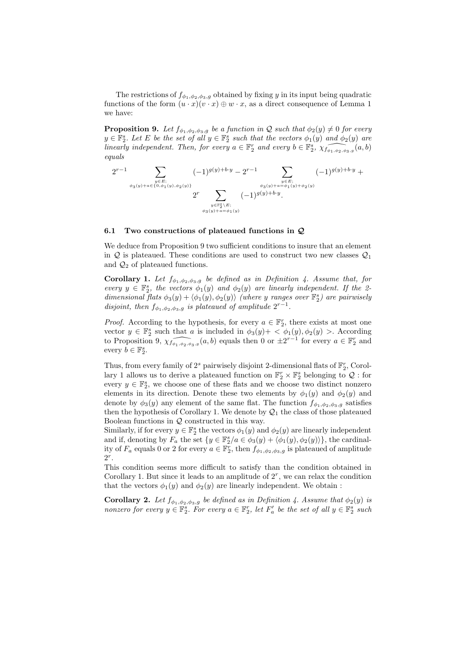The restrictions of  $f_{\phi_1,\phi_2,\phi_3,g}$  obtained by fixing y in its input being quadratic functions of the form  $(u \cdot x)(v \cdot x) \oplus w \cdot x$ , as a direct consequence of Lemma 1 we have:

**Proposition 9.** Let  $f_{\phi_1, \phi_2, \phi_3, g}$  be a function in Q such that  $\phi_2(y) \neq 0$  for every  $y \in \mathbb{F}_2^s$ . Let E be the set of all  $y \in \mathbb{F}_2^s$  such that the vectors  $\phi_1(y)$  and  $\phi_2(y)$  are linearly independent. Then, for every  $a \in \mathbb{F}_2^r$  and every  $b \in \mathbb{F}_2^s$ ,  $\widehat{\chi_{f_{\phi_1,\phi_2,\phi_3,g}}}(a, b)$ equals

$$
2^{r-1} \sum_{\substack{y \in E; \\ \phi_3(y) + a \in \{0, \phi_1(y), \phi_2(y)\}}} (-1)^{g(y) + b \cdot y} - 2^{r-1} \sum_{\substack{y \in E; \\ \phi_3(y) + a = \phi_1(y) + \phi_2(y) \\ y \in \mathbb{F}_2^s \setminus E; \\ \phi_3(y) + a = \phi_1(y)}} (-1)^{g(y) + b \cdot y}.
$$

### 6.1 Two constructions of plateaued functions in Q

We deduce from Proposition 9 two sufficient conditions to insure that an element in Q is plateaued. These conditions are used to construct two new classes  $\mathcal{Q}_1$ and  $\mathcal{Q}_2$  of plateaued functions.

**Corollary 1.** Let  $f_{\phi_1,\phi_2,\phi_3,g}$  be defined as in Definition 4. Assume that, for every  $y \in \mathbb{F}_2^s$ , the vectors  $\phi_1(y)$  and  $\phi_2(y)$  are linearly independent. If the 2dimensional flats  $\phi_3(y) + \langle \phi_1(y), \phi_2(y) \rangle$  (where y ranges over  $\mathbb{F}_2^s$ ) are pairwisely disjoint, then  $f_{\phi_1, \phi_2, \phi_3, g}$  is plateaued of amplitude  $2^{r-1}$ .

*Proof.* According to the hypothesis, for every  $a \in \mathbb{F}_2^r$ , there exists at most one vector  $y \in \mathbb{F}_2^s$  such that a is included in  $\phi_3(y) + \langle \phi_1(y), \phi_2(y) \rangle$ . According to Proposition 9,  $\widehat{\chi_{f_{\phi_1,\phi_2,\phi_3,g}}}(a, b)$  equals then 0 or  $\pm 2^{r-1}$  for every  $a \in \mathbb{F}_2^r$  and every  $b \in \mathbb{F}_2^s$ .

Thus, from every family of  $2<sup>s</sup>$  pairwisely disjoint 2-dimensional flats of  $\mathbb{F}_2^r$ , Corollary 1 allows us to derive a plateaued function on  $\mathbb{F}_2^r \times \mathbb{F}_2^s$  belonging to  $\mathcal{Q}$  : for every  $y \in \mathbb{F}_2^s$ , we choose one of these flats and we choose two distinct nonzero elements in its direction. Denote these two elements by  $\phi_1(y)$  and  $\phi_2(y)$  and denote by  $\phi_3(y)$  any element of the same flat. The function  $f_{\phi_1,\phi_2,\phi_3,g}$  satisfies then the hypothesis of Corollary 1. We denote by  $\mathcal{Q}_1$  the class of those plateaued Boolean functions in Q constructed in this way.

Similarly, if for every  $y \in \mathbb{F}_2^s$  the vectors  $\phi_1(y)$  and  $\phi_2(y)$  are linearly independent and if, denoting by  $F_a$  the set  $\{y \in \mathbb{F}_2^s/a \in \phi_3(y) + \langle \phi_1(y), \phi_2(y) \rangle\}$ , the cardinality of  $F_a$  equals 0 or 2 for every  $a \in \mathbb{F}_2^r$ , then  $f_{\phi_1,\phi_2,\phi_3,g}$  is plateaued of amplitude  $2^r$ .

This condition seems more difficult to satisfy than the condition obtained in Corollary 1. But since it leads to an amplitude of  $2<sup>r</sup>$ , we can relax the condition that the vectors  $\phi_1(y)$  and  $\phi_2(y)$  are linearly independent. We obtain :

**Corollary 2.** Let  $f_{\phi_1, \phi_2, \phi_3, g}$  be defined as in Definition 4. Assume that  $\phi_2(y)$  is nonzero for every  $y \in \mathbb{F}_2^s$ . For every  $a \in \mathbb{F}_2^r$ , let  $F'_a$  be the set of all  $y \in \mathbb{F}_2^s$  such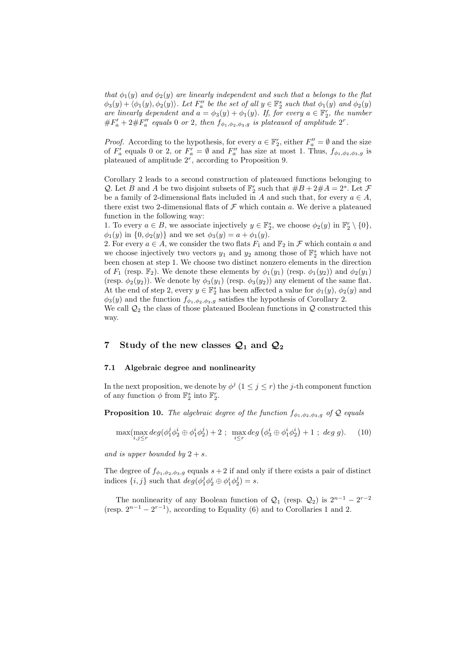that  $\phi_1(y)$  and  $\phi_2(y)$  are linearly independent and such that a belongs to the flat  $\phi_3(y) + \langle \phi_1(y), \phi_2(y) \rangle$ . Let  $F''_a$  be the set of all  $y \in \mathbb{F}_2^s$  such that  $\phi_1(y)$  and  $\phi_2(y)$ are linearly dependent and  $a = \phi_3(y) + \phi_1(y)$ . If, for every  $a \in \mathbb{F}_2^r$ , the number  $\#F'_a + 2\#F''_a$  equals 0 or 2, then  $f_{\phi_1,\phi_2,\phi_3,g}$  is plateaued of amplitude  $2^r$ .

*Proof.* According to the hypothesis, for every  $a \in \mathbb{F}_2^r$ , either  $F''_a = \emptyset$  and the size of  $F'_a$  equals 0 or 2, or  $F'_a = \emptyset$  and  $F''_a$  has size at most 1. Thus,  $f_{\phi_1, \phi_2, \phi_3, g}$  is plateaued of amplitude 2 r , according to Proposition 9.

Corollary 2 leads to a second construction of plateaued functions belonging to Q. Let B and A be two disjoint subsets of  $\mathbb{F}_2^r$  such that  $\#B + 2\#A = 2^s$ . Let  $\mathcal F$ be a family of 2-dimensional flats included in A and such that, for every  $a \in A$ , there exist two 2-dimensional flats of  $\mathcal F$  which contain a. We derive a plateaued function in the following way:

1. To every  $a \in B$ , we associate injectively  $y \in \mathbb{F}_2^s$ , we choose  $\phi_2(y)$  in  $\mathbb{F}_2^r \setminus \{0\}$ ,  $\phi_1(y)$  in  $\{0, \phi_2(y)\}\$ and we set  $\phi_3(y) = a + \phi_1(y)$ .

2. For every  $a \in A$ , we consider the two flats  $F_1$  and  $\mathbb{F}_2$  in  $\mathcal F$  which contain a and we choose injectively two vectors  $y_1$  and  $y_2$  among those of  $\mathbb{F}_2^s$  which have not been chosen at step 1. We choose two distinct nonzero elements in the direction of  $F_1$  (resp.  $\mathbb{F}_2$ ). We denote these elements by  $\phi_1(y_1)$  (resp.  $\phi_1(y_2)$ ) and  $\phi_2(y_1)$ (resp.  $\phi_2(y_2)$ ). We denote by  $\phi_3(y_1)$  (resp.  $\phi_3(y_2)$ ) any element of the same flat. At the end of step 2, every  $y \in \mathbb{F}_2^s$  has been affected a value for  $\phi_1(y)$ ,  $\phi_2(y)$  and  $\phi_3(y)$  and the function  $f_{\phi_1,\phi_2,\phi_3,g}$  satisfies the hypothesis of Corollary 2.

We call  $\mathcal{Q}_2$  the class of those plateaued Boolean functions in  $\mathcal Q$  constructed this way.

## 7 Study of the new classes  $\mathcal{Q}_1$  and  $\mathcal{Q}_2$

### 7.1 Algebraic degree and nonlinearity

In the next proposition, we denote by  $\phi^j$   $(1 \leq j \leq r)$  the j-th component function of any function  $\phi$  from  $\mathbb{F}_2^s$  into  $\mathbb{F}_2^r$ .

**Proposition 10.** The algebraic degree of the function  $f_{\phi_1, \phi_2, \phi_3, g}$  of Q equals

$$
\max(\max_{i,j\leq r} deg(\phi_1^j \phi_2^i \oplus \phi_1^i \phi_2^j) + 2 ; \ \max_{i\leq r} deg(\phi_3^i \oplus \phi_1^i \phi_2^i) + 1 ; deg g). \tag{10}
$$

and is upper bounded by  $2 + s$ .

The degree of  $f_{\phi_1,\phi_2,\phi_3,g}$  equals  $s+2$  if and only if there exists a pair of distinct indices  $\{i, j\}$  such that  $deg(\phi_1^j \phi_2^i \oplus \phi_1^i \phi_2^j) = s$ .

The nonlinearity of any Boolean function of  $\mathcal{Q}_1$  (resp.  $\mathcal{Q}_2$ ) is  $2^{n-1} - 2^{r-2}$ (resp.  $2^{n-1} - 2^{r-1}$ ), according to Equality (6) and to Corollaries 1 and 2.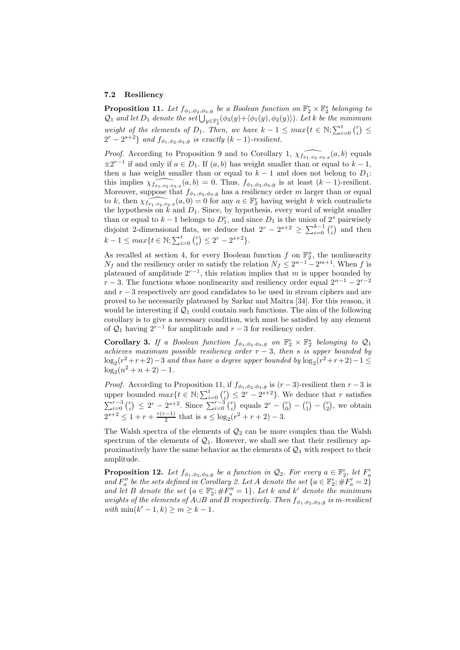#### 7.2 Resiliency

**Proposition 11.** Let  $f_{\phi_1,\phi_2,\phi_3,g}$  be a Boolean function on  $\mathbb{F}_2^r \times \mathbb{F}_2^s$  belonging to  $\mathcal{Q}_1$  and let  $D_1$  denote the set  $\bigcup_{y\in \mathbb{F}_2^s} (\phi_3(y)+\langle \phi_1(y), \phi_2(y)\rangle)$ . Let k be the minimum weight of the elements of  $D_1$ . Then, we have  $k-1 \leq max\{t \in \mathbb{N}; \sum_{i=0}^t {r \choose i} \leq$  $2^r - 2^{s+2}$  and  $f_{\phi_1, \phi_2, \phi_3, g}$  is exactly  $(k-1)$ -resilient.

*Proof.* According to Proposition 9 and to Corollary 1,  $\widehat{\chi_{f_{\phi_1,\phi_2,\phi_3,g}}}(a, b)$  equals  $\pm 2^{r-1}$  if and only if  $a \in D_1$ . If  $(a, b)$  has weight smaller than or equal to  $k-1$ , then a has weight smaller than or equal to  $k - 1$  and does not belong to  $D_1$ : this implies  $\widehat{\chi_{f_{\phi_1,\phi_2,\phi_3,g}}(a, b)} = 0$ . Thus,  $f_{\phi_1,\phi_2,\phi_3,g}$  is at least  $(k-1)$ -resilient. Moreover, suppose that  $f_{\phi_1,\phi_2,\phi_3,g}$  has a resiliency order m larger than or equal to k, then  $\widehat{\chi_{f_{\phi_1,\phi_2,\phi_3,g}}(a,0)} = 0$  for any  $a \in \mathbb{F}_2^r$  having weight k wich contradicts the hypothesis on  $k$  and  $D_1$ . Since, by hypothesis, every word of weight smaller than or equal to  $k-1$  belongs to  $D_1^c$ , and since  $D_1$  is the union of  $2^s$  pairwisely 1 disjoint 2-dimensional flats, we deduce that  $2^r - 2^{s+2} \ge \sum_{i=0}^{k-1} {r \choose i}$  and then  $k-1 \leq max\{t \in \mathbb{N}; \sum_{i=0}^{t} {r \choose i} \leq 2^{r} - 2^{s+2}\}.$ 

As recalled at section 4, for every Boolean function  $f$  on  $\mathbb{F}_2^n$ , the nonlinearity  $N_f$  and the resiliency order m satisfy the relation  $N_f \leq 2^{n-1} - 2^{m+1}$ . When f is plateaued of amplitude  $2^{r-1}$ , this relation implies that m is upper bounded by  $r-3$ . The functions whose nonlinearity and resiliency order equal  $2^{n-1} - 2^{r-2}$ and  $r - 3$  respectively are good candidates to be used in stream ciphers and are proved to be necessarily plateaued by Sarkar and Maitra [34]. For this reason, it would be interesting if  $Q_1$  could contain such functions. The aim of the following corollary is to give a necessary condition, wich must be satisfied by any element of  $Q_1$  having  $2^{r-1}$  for amplitude and  $r-3$  for resiliency order.

Corollary 3. If a Boolean function  $f_{\phi_1,\phi_2,\phi_3,g}$  on  $\mathbb{F}_2^r \times \mathbb{F}_2^s$  belonging to  $\mathcal{Q}_1$ achieves maximum possible resiliency order  $r - 3$ , then s is upper bounded by  $\log_2(r^2+r+2)-3$  and thus have a degree upper bounded by  $\log_2(r^2+r+2)-1 \le$  $\log_2(n^2 + n + 2) - 1.$ 

*Proof.* According to Proposition 11, if  $f_{\phi_1, \phi_2, \phi_3, g}$  is  $(r-3)$ -resilient then  $r-3$  is upper bounded  $max\{t \in \mathbb{N}; \sum_{i=0}^t {r \choose i} \le 2^r - 2^{s+2}\}.$  We deduce that r satisfies  $\sum_{i=0}^{r-3} {r \choose i} \leq 2^r - 2^{s+2}$ . Since  $\sum_{i=0}^{r-3} {r \choose i}$  equals  $2^r - {r \choose 0} - {r \choose 1} - {r \choose 2}$ , we obtain  $2^{s+2} \leq 1 + r + \frac{r(r-1)}{2}$  $\frac{(-1)}{2}$  that is  $s \leq \log_2(r^2 + r + 2) - 3$ .

The Walsh spectra of the elements of  $\mathcal{Q}_2$  can be more complex than the Walsh spectrum of the elements of  $\mathcal{Q}_1$ . However, we shall see that their resiliency approximatively have the same behavior as the elements of  $\mathcal{Q}_1$  with respect to their amplitude.

**Proposition 12.** Let  $f_{\phi_1,\phi_2,\phi_3,g}$  be a function in  $\mathcal{Q}_2$ . For every  $a \in \mathbb{F}_2^r$ , let  $F'_a$ and  $F''_a$  be the sets defined in Corollary 2. Let A denote the set  $\{a \in \mathbb{F}_2^r; \#F'_a = 2\}$ and let B denote the set  $\{a \in \mathbb{F}_2^r; \#F''_a = 1\}$ . Let k and k' denote the minimum weights of the elements of A∪B and B respectively. Then  $f_{\phi_1, \phi_2, \phi_3, g}$  is m-resilient with  $\min(k'-1, k) \ge m \ge k-1$ .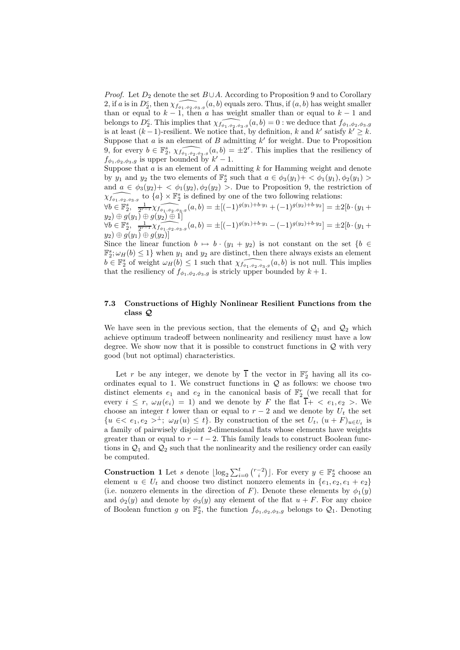*Proof.* Let  $D_2$  denote the set  $B\cup A$ . According to Proposition 9 and to Corollary 2, if a is in  $D_2^c$ , then  $\widehat{\chi_{f_{\phi_1,\phi_2,\phi_3,g}}(a, b)}$  equals zero. Thus, if  $(a, b)$  has weight smaller than or equal to  $k - 1$ , then a has weight smaller than or equal to  $k - 1$  and belongs to  $D_2^c$ . This implies that  $\widehat{\chi_{f_{\phi_1,\phi_2,\phi_3,g}}}(a, b) = 0$ : we deduce that  $f_{\phi_1,\phi_2,\phi_3,g}$ is at least  $(k-1)$ -resilient. We notice that, by definition, k and k' satisfy  $k' \ge k$ . Suppose that  $a$  is an element of  $B$  admitting  $k'$  for weight. Due to Proposition 9, for every  $b \in \mathbb{F}_2^s$ ,  $\widehat{\chi_{f_{\phi_1,\phi_2,\phi_3,g}}}(a, b) = \pm 2^r$ . This implies that the resiliency of  $f_{\phi_1,\phi_2,\phi_3,g}$  is upper bounded by  $k'-1$ .

Suppose that  $a$  is an element of  $A$  admitting  $k$  for Hamming weight and denote by  $y_1$  and  $y_2$  the two elements of  $\mathbb{F}_2^s$  such that  $a \in \phi_3(y_1) + \langle \phi_1(y_1), \phi_2(y_1) \rangle$ and  $a \in \phi_3(y_2) + \langle \phi_1(y_2), \phi_2(y_2) \rangle$ . Due to Proposition 9, the restriction of  $\widehat{\chi_{f_{\phi_1,\phi_2,\phi_3,g}}}$  to  $\{a\} \times \mathbb{F}_2^s$  is defined by one of the two following relations:

 $\forall b \in \mathbb{F}_2^s, \quad \frac{1}{2^{r-1}} \chi_{f_{\phi_1,\phi_2,\phi_3,g}}(a,b) = \pm [(-1)^{g(y_1)+b\cdot y_1} + (-1)^{g(y_2)+b\cdot y_2}] = \pm 2[b\cdot(y_1 + b\cdot y_2) + b\cdot y_3]$  $(y_2) \oplus g(y_1) \oplus g(y_2) \oplus 1$ 

 $\forall b \in \mathbb{F}_2^s, \quad \frac{1}{2^{r-1}} \chi_{f_{\phi_1,\phi_2,\phi_3,g}}(a,b) = \pm [(-1)^{g(y_1)+b\cdot y_1} - (-1)^{g(y_2)+b\cdot y_2}] = \pm 2[b\cdot(y_1 + b\cdot y_2) + b\cdot y_3]$  $y_2) \oplus g(y_1) \oplus g(y_2)$ 

Since the linear function  $b \mapsto b \cdot (y_1 + y_2)$  is not constant on the set  $\{b \in$  $\mathbb{F}_2^s$ ;  $\omega_H(b) \leq 1$ } when  $y_1$  and  $y_2$  are distinct, then there always exists an element  $b \in \mathbb{F}_2^s$  of weight  $\omega_H(b) \leq 1$  such that  $\widehat{\chi_{f_{\phi_1,\phi_2,\phi_3,g}}(a, b)}$  is not null. This implies that the resiliency of  $f_{\phi_1,\phi_2,\phi_3,g}$  is stricly upper bounded by  $k+1$ .

## 7.3 Constructions of Highly Nonlinear Resilient Functions from the class Q

We have seen in the previous section, that the elements of  $\mathcal{Q}_1$  and  $\mathcal{Q}_2$  which achieve optimum tradeoff between nonlinearity and resiliency must have a low degree. We show now that it is possible to construct functions in  $\mathcal{Q}$  with very good (but not optimal) characteristics.

Let r be any integer, we denote by  $\overline{1}$  the vector in  $\mathbb{F}_2^r$  having all its coordinates equal to 1. We construct functions in  $\mathcal Q$  as follows: we choose two distinct elements  $e_1$  and  $e_2$  in the canonical basis of  $\mathbb{F}_2^r$  (we recall that for every  $i \leq r$ ,  $\omega_H(e_i) = 1$ ) and we denote by F the flat  $\overline{1+} < e_1, e_2 >$ . We choose an integer t lower than or equal to  $r-2$  and we denote by  $U_t$  the set  $\{u \in \leq e_1, e_2 >^{\perp}; \ \omega_H(u) \leq t\}$ . By construction of the set  $U_t$ ,  $(u + F)_{u \in U_t}$  is a family of pairwisely disjoint 2-dimensional flats whose elements have weights greater than or equal to  $r - t - 2$ . This family leads to construct Boolean functions in  $\mathcal{Q}_1$  and  $\mathcal{Q}_2$  such that the nonlinearity and the resiliency order can easily be computed.

**Construction 1** Let s denote  $\lfloor \log_2 \sum_{i=0}^t \binom{r-2}{i} \rfloor$ . For every  $y \in \mathbb{F}_2^s$  choose an element  $u \in U_t$  and choose two distinct nonzero elements in  $\{e_1, e_2, e_1 + e_2\}$ (i.e. nonzero elements in the direction of F). Denote these elements by  $\phi_1(y)$ and  $\phi_2(y)$  and denote by  $\phi_3(y)$  any element of the flat  $u + F$ . For any choice of Boolean function g on  $\mathbb{F}_2^s$ , the function  $f_{\phi_1,\phi_2,\phi_3,g}$  belongs to  $\mathcal{Q}_1$ . Denoting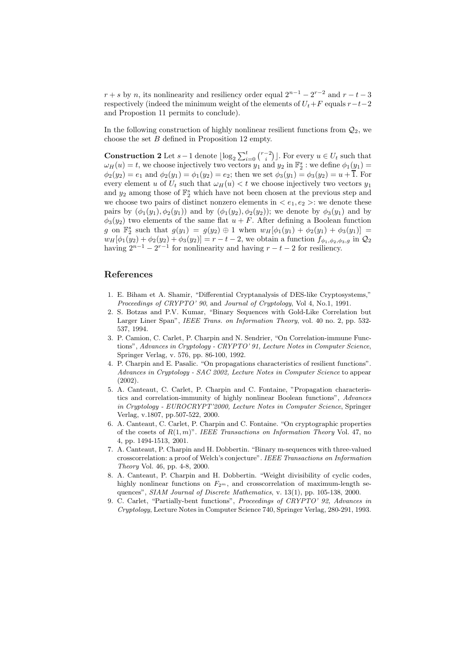$r + s$  by n, its nonlinearity and resiliency order equal  $2^{n-1} - 2^{r-2}$  and  $r - t - 3$ respectively (indeed the minimum weight of the elements of  $U_t+F$  equals  $r-t-2$ and Propostion 11 permits to conclude).

In the following construction of highly nonlinear resilient functions from  $\mathcal{Q}_2$ , we choose the set B defined in Proposition 12 empty.

**Construction 2** Let  $s-1$  denote  $\lfloor \log_2 \sum_{i=0}^{t} {r-2 \choose i} \rfloor$ . For every  $u \in U_t$  such that  $\omega_H(u) = t$ , we choose injectively two vectors  $y_1$  and  $y_2$  in  $\mathbb{F}_2^s$  : we define  $\phi_1(y_1) =$  $\phi_2(y_2) = e_1$  and  $\phi_2(y_1) = \phi_1(y_2) = e_2$ ; then we set  $\phi_3(y_1) = \phi_3(y_2) = u + \overline{1}$ . For every element u of  $U_t$  such that  $\omega_H(u) < t$  we choose injectively two vectors  $y_1$ and  $y_2$  among those of  $\mathbb{F}_2^s$  which have not been chosen at the previous step and we choose two pairs of distinct nonzero elements in  $\lt e_1, e_2 >$ : we denote these pairs by  $(\phi_1(y_1), \phi_2(y_1))$  and by  $(\phi_1(y_2), \phi_2(y_2))$ ; we denote by  $\phi_3(y_1)$  and by  $\phi_3(y_2)$  two elements of the same flat  $u + F$ . After defining a Boolean function g on  $\mathbb{F}_2^s$  such that  $g(y_1) = g(y_2) \oplus 1$  when  $w_H[\phi_1(y_1) + \phi_2(y_1) + \phi_3(y_1)] =$  $w_H[\phi_1(y_2) + \phi_2(y_2) + \phi_3(y_2)] = r - t - 2$ , we obtain a function  $f_{\phi_1, \phi_2, \phi_3, g}$  in  $\mathcal{Q}_2$ having  $2^{n-1} - 2^{r-1}$  for nonlinearity and having  $r - t - 2$  for resiliency.

## References

- 1. E. Biham et A. Shamir, "Differential Cryptanalysis of DES-like Cryptosystems," Proceedings of CRYPTO' 90, and Journal of Cryptology, Vol 4, No.1, 1991.
- 2. S. Botzas and P.V. Kumar, "Binary Sequences with Gold-Like Correlation but Larger Liner Span", *IEEE Trans. on Information Theory*, vol. 40 no. 2, pp. 532-537, 1994.
- 3. P. Camion, C. Carlet, P. Charpin and N. Sendrier, "On Correlation-immune Functions", Advances in Cryptology - CRYPTO' 91, Lecture Notes in Computer Science, Springer Verlag, v. 576, pp. 86-100, 1992.
- 4. P. Charpin and E. Pasalic. "On propagations characteristics of resilient functions". Advances in Cryptology - SAC 2002, Lecture Notes in Computer Science to appear (2002).
- 5. A. Canteaut, C. Carlet, P. Charpin and C. Fontaine, "Propagation characteristics and correlation-immunity of highly nonlinear Boolean functions", Advances in Cryptology - EUROCRYPT'2000, Lecture Notes in Computer Science, Springer Verlag, v.1807, pp.507-522, 2000.
- 6. A. Canteaut, C. Carlet, P. Charpin and C. Fontaine. "On cryptographic properties of the cosets of  $R(1, m)$ ". IEEE Transactions on Information Theory Vol. 47, no 4, pp. 1494-1513, 2001.
- 7. A. Canteaut, P. Charpin and H. Dobbertin. "Binary m-sequences with three-valued crosscorrelation: a proof of Welch's conjecture". IEEE Transactions on Information Theory Vol. 46, pp. 4-8, 2000.
- 8. A. Canteaut, P. Charpin and H. Dobbertin. "Weight divisibility of cyclic codes, highly nonlinear functions on  $F_{2^m}$ , and crosscorrelation of maximum-length sequences", SIAM Journal of Discrete Mathematics, v. 13(1), pp. 105-138, 2000.
- 9. C. Carlet, "Partially-bent functions", Proceedings of CRYPTO' 92, Advances in Cryptology, Lecture Notes in Computer Science 740, Springer Verlag, 280-291, 1993.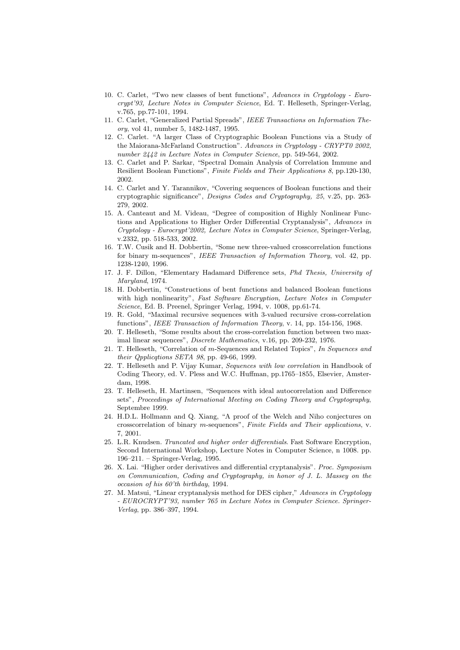- 10. C. Carlet, "Two new classes of bent functions", Advances in Cryptology Eurocrypt'93, Lecture Notes in Computer Science, Ed. T. Helleseth, Springer-Verlag, v.765, pp.77-101, 1994.
- 11. C. Carlet, "Generalized Partial Spreads", IEEE Transactions on Information Theory, vol 41, number 5, 1482-1487, 1995.
- 12. C. Carlet. "A larger Class of Cryptographic Boolean Functions via a Study of the Maiorana-McFarland Construction". Advances in Cryptology - CRYPT0 2002, number 2442 in Lecture Notes in Computer Science, pp. 549-564, 2002.
- 13. C. Carlet and P. Sarkar, "Spectral Domain Analysis of Correlation Immune and Resilient Boolean Functions", Finite Fields and Their Applications 8, pp.120-130, 2002.
- 14. C. Carlet and Y. Tarannikov, "Covering sequences of Boolean functions and their cryptographic significance", Designs Codes and Cryptography, 25, v.25, pp. 263- 279, 2002.
- 15. A. Canteaut and M. Videau, "Degree of composition of Highly Nonlinear Functions and Applications to Higher Order Differential Cryptanalysis", Advances in Cryptology - Eurocrypt'2002, Lecture Notes in Computer Science, Springer-Verlag, v.2332, pp. 518-533, 2002.
- 16. T.W. Cusik and H. Dobbertin, "Some new three-valued crosscorrelation functions for binary m-sequences", IEEE Transaction of Information Theory, vol. 42, pp. 1238-1240, 1996.
- 17. J. F. Dillon, "Elementary Hadamard Difference sets, Phd Thesis, University of Maryland, 1974.
- 18. H. Dobbertin, "Constructions of bent functions and balanced Boolean functions with high nonlinearity", Fast Software Encryption, Lecture Notes in Computer Science, Ed. B. Preenel, Springer Verlag, 1994, v. 1008, pp.61-74.
- 19. R. Gold, "Maximal recursive sequences with 3-valued recursive cross-correlation functions", IEEE Transaction of Information Theory, v. 14, pp. 154-156, 1968.
- 20. T. Helleseth, "Some results about the cross-correlation function between two maximal linear sequences", Discrete Mathematics, v.16, pp. 209-232, 1976.
- 21. T. Helleseth, "Correlation of m-Sequences and Related Topics", In Sequences and their Qpplicqtions SETA 98, pp. 49-66, 1999.
- 22. T. Helleseth and P. Vijay Kumar, Sequences with low correlation in Handbook of Coding Theory, ed. V. Pless and W.C. Huffman, pp.1765–1855, Elsevier, Amsterdam, 1998.
- 23. T. Helleseth, H. Martinsen, "Sequences with ideal autocorrelation and Difference sets", Proceedings of International Meeting on Coding Theory and Cryptography, Septembre 1999.
- 24. H.D.L. Hollmann and Q. Xiang, "A proof of the Welch and Niho conjectures on crosscorrelation of binary m-sequences", Finite Fields and Their applications, v. 7, 2001.
- 25. L.R. Knudsen. Truncated and higher order differentials. Fast Software Encryption, Second International Workshop, Lecture Notes in Computer Science, n 1008. pp. 196–211. – Springer-Verlag, 1995.
- 26. X. Lai. "Higher order derivatives and differential cryptanalysis". Proc. Symposium on Communication, Coding and Cryptography, in honor of J. L. Massey on the occasion of his 60'th birthday, 1994.
- 27. M. Matsui, "Linear cryptanalysis method for DES cipher," Advances in Cryptology - EUROCRYPT'93, number 765 in Lecture Notes in Computer Science. Springer-Verlag, pp. 386–397, 1994.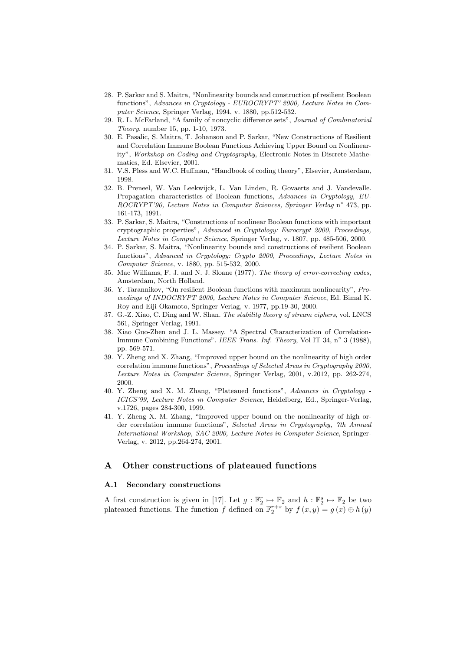- 28. P. Sarkar and S. Maitra, "Nonlinearity bounds and construction pf resilient Boolean functions", Advances in Cryptology - EUROCRYPT' 2000, Lecture Notes in Computer Science, Springer Verlag, 1994, v. 1880, pp.512-532.
- 29. R. L. McFarland, "A family of noncyclic difference sets", Journal of Combinatorial Theory, number 15, pp. 1-10, 1973.
- 30. E. Pasalic, S. Maitra, T. Johanson and P. Sarkar, "New Constructions of Resilient and Correlation Immune Boolean Functions Achieving Upper Bound on Nonlinearity", Workshop on Coding and Cryptography, Electronic Notes in Discrete Mathematics, Ed. Elsevier, 2001.
- 31. V.S. Pless and W.C. Huffman, "Handbook of coding theory", Elsevier, Amsterdam, 1998.
- 32. B. Preneel, W. Van Leekwijck, L. Van Linden, R. Govaerts and J. Vandevalle. Propagation characteristics of Boolean functions, Advances in Cryptology, EU-ROCRYPT'90, Lecture Notes in Computer Sciences, Springer Verlag n° 473, pp. 161-173, 1991.
- 33. P. Sarkar, S. Maitra, "Constructions of nonlinear Boolean functions with important cryptographic properties", Advanced in Cryptology: Eurocrypt 2000, Proceedings, Lecture Notes in Computer Science, Springer Verlag, v. 1807, pp. 485-506, 2000.
- 34. P. Sarkar, S. Maitra, "Nonlinearity bounds and constructions of resilient Boolean functions", Advanced in Cryptology: Crypto 2000, Proceedings, Lecture Notes in Computer Science, v. 1880, pp. 515-532, 2000.
- 35. Mac Williams, F. J. and N. J. Sloane (1977). The theory of error-correcting codes, Amsterdam, North Holland.
- 36. Y. Tarannikov, "On resilient Boolean functions with maximum nonlinearity", Proceedings of INDOCRYPT 2000, Lecture Notes in Computer Science, Ed. Bimal K. Roy and Eiji Okamoto, Springer Verlag, v. 1977, pp.19-30, 2000.
- 37. G.-Z. Xiao, C. Ding and W. Shan. The stability theory of stream ciphers, vol. LNCS 561, Springer Verlag, 1991.
- 38. Xiao Guo-Zhen and J. L. Massey. "A Spectral Characterization of Correlation-Immune Combining Functions". IEEE Trans. Inf. Theory, Vol IT 34, n° 3 (1988), pp. 569-571.
- 39. Y. Zheng and X. Zhang, "Improved upper bound on the nonlinearity of high order correlation immune functions", Proceedings of Selected Areas in Cryptography 2000, Lecture Notes in Computer Science, Springer Verlag, 2001, v.2012, pp. 262-274, 2000.
- 40. Y. Zheng and X. M. Zhang, "Plateaued functions", Advances in Cryptology ICICS'99, Lecture Notes in Computer Science, Heidelberg, Ed., Springer-Verlag, v.1726, pages 284-300, 1999.
- 41. Y. Zheng X. M. Zhang, "Improved upper bound on the nonlinearity of high order correlation immune functions", Selected Areas in Cryptography, 7th Annual International Workshop, SAC 2000, Lecture Notes in Computer Science, Springer-Verlag, v. 2012, pp.264-274, 2001.

## A Other constructions of plateaued functions

## A.1 Secondary constructions

A first construction is given in [17]. Let  $g : \mathbb{F}_2^r \mapsto \mathbb{F}_2$  and  $h : \mathbb{F}_2^s \mapsto \mathbb{F}_2$  be two plateaued functions. The function  $f$  defined on  $\mathbb{F}_2^{r+s}$  by  $f(x,y) = g(x) \oplus h(y)$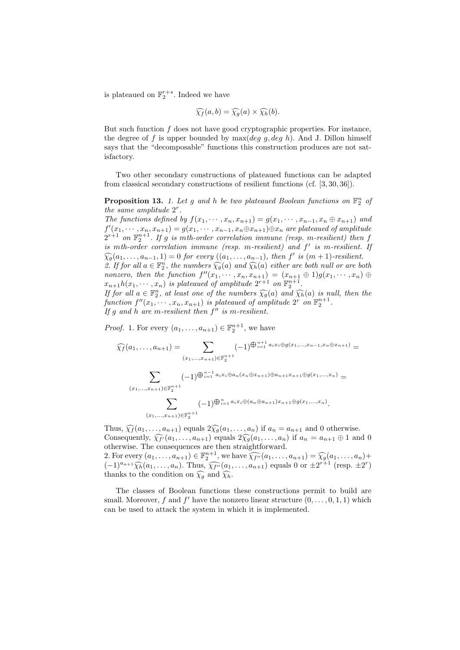is plateaued on  $\mathbb{F}_2^{r+s}$ . Indeed we have

$$
\widehat{\chi_f}(a,b) = \widehat{\chi_g}(a) \times \widehat{\chi_h}(b).
$$

But such function  $f$  does not have good cryptographic properties. For instance, the degree of f is upper bounded by  $\max(\text{deg } q, \text{deg } h)$ . And J. Dillon himself says that the "decomposable" functions this construction produces are not satisfactory.

Two other secondary constructions of plateaued functions can be adapted from classical secondary constructions of resilient functions (cf. [3, 30, 36]).

**Proposition 13.** 1. Let g and h be two plateaued Boolean functions on  $\mathbb{F}_2^n$  of the same amplitude  $2^r$ .

The functions defined by  $f(x_1, \dots, x_n, x_{n+1}) = g(x_1, \dots, x_{n-1}, x_n \oplus x_{n+1})$  and  $f'(x_1, \dots, x_n, x_{n+1}) = g(x_1, \dots, x_{n-1}, x_n \oplus x_{n+1}) \oplus x_n$  are plateaued of amplitude  $2^{r+1}$  on  $\mathbb{F}_2^{n+1}$ . If g is mth-order correlation immune (resp. m-resilient) then f is mth-order correlation immune (resp. m-resilient) and  $f'$  is m-resilient. If  $\widehat{\chi}_g(a_1,\ldots,a_{n-1},1)=0$  for every  $((a_1,\ldots,a_{n-1}),$  then f' is  $(m+1)$ -resilient. 2. If for all  $a \in \mathbb{F}_2^n$ , the numbers  $\widehat{\chi_g}(a)$  and  $\widehat{\chi_h}(a)$  either are both null or are both nonzero, then the function  $f''(x_1, \dots, x_n, x_{n+1}) = (x_{n+1} \oplus 1)g(x_1, \dots, x_n) \oplus$  $x_{n+1}h(x_1,\dots,x_n)$  is plateaued of amplitude  $2^{r+1}$  on  $\mathbb{F}_2^{n+1}$ . If for all  $a \in \mathbb{F}_2^n$ , at least one of the numbers  $\widehat{\chi}_9(a)$  and  $\widehat{\chi}_h(a)$  is null, then the function  $f''(x_1, \dots, x_n, x_{n+1})$  is plateaued of amplitude  $2^r$  on  $\mathbb{F}_2^{n+1}$ . If g and h are m-resilient then  $f''$  is m-resilient.

*Proof.* 1. For every  $(a_1, \ldots, a_{n+1}) \in \mathbb{F}_2^{n+1}$ , we have

$$
\widehat{\chi_f}(a_1,\ldots,a_{n+1}) = \sum_{(x_1,\ldots,x_{n+1}) \in \mathbb{F}_2^{n+1}} (-1)^{\bigoplus_{i=1}^{n+1} a_i x_i \oplus g(x_1,\ldots,x_{n-1},x_n \oplus x_{n+1})} =
$$
\n
$$
\sum_{(x_1,\ldots,x_{n+1}) \in \mathbb{F}_2^{n+1}} (-1)^{\bigoplus_{i=1}^{n-1} a_i x_i \oplus a_n (x_n \oplus x_{n+1}) \oplus a_{n+1} x_{n+1} \oplus g(x_1,\ldots,x_n)} =
$$
\n
$$
\sum_{(x_1,\ldots,x_{n+1}) \in \mathbb{F}_2^{n+1}} (-1)^{\bigoplus_{i=1}^{n} a_i x_i \oplus (a_n \oplus a_{n+1}) x_{n+1} \oplus g(x_1,\ldots,x_n)}.
$$

Thus,  $\widehat{\chi_f}(a_1,\ldots,a_{n+1})$  equals  $2\widehat{\chi_g}(a_1,\ldots,a_n)$  if  $a_n = a_{n+1}$  and 0 otherwise. Consequently,  $\widehat{\chi_{f'}}(a_1,\ldots,a_{n+1})$  equals  $2\widehat{\chi_g}(a_1,\ldots,a_n)$  if  $a_n = a_{n+1} \oplus 1$  and 0 otherwise. The consequences are then straightforward.

2. For every  $(a_1, \ldots, a_{n+1}) \in \mathbb{F}_2^{n+1}$ , we have  $\widehat{\chi_{f''}}(a_1, \ldots, a_{n+1}) = \widehat{\chi_g}(a_1, \ldots, a_n) +$  $(-1)^{a_{n+1}}\widehat{\chi}_h(a_1,\ldots,a_n)$ . Thus,  $\widehat{\chi_{f''}}(a_1,\ldots,a_{n+1})$  equals 0 or  $\pm 2^{r+1}$  (resp.  $\pm 2^r$ ) thanks to the condition on  $\widehat{\chi_q}$  and  $\widehat{\chi_h}$ .

The classes of Boolean functions these constructions permit to build are small. Moreover, f and f' have the nonzero linear structure  $(0, \ldots, 0, 1, 1)$  which can be used to attack the system in which it is implemented.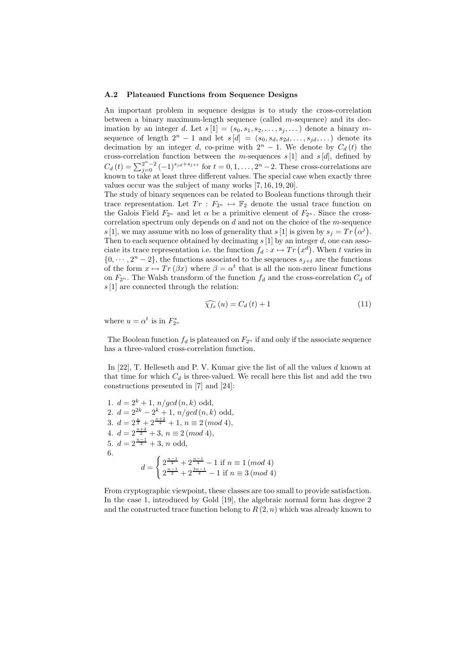#### A.2 Plateaued Functions from Sequence Designs

An important problem in sequence designs is to study the cross-correlation between a binary maximum-length sequence (called m-sequence) and its decimation by an integer d. Let  $s[1] = (s_0, s_1, s_2, \ldots, s_j, \ldots)$  denote a binary msequence of length  $2^n - 1$  and let  $s[d] = (s_0, s_d, s_{2d}, \ldots, s_{jd}, \ldots)$  denote its decimation by an integer d, co-prime with  $2^n - 1$ . We denote by  $C_d(t)$  the cross-correlation function between the m-sequences  $s[1]$  and  $s[d]$ , defined by  $C_d(t) = \sum_{j=0}^{2^n-2} (-1)^{s_{jd}+s_{j+t}}$  for  $t = 0, 1, ..., 2^n-2$ . These cross-correlations are known to take at least three different values. The special case when exactly three values occur was the subject of many works [7, 16, 19, 20].

The study of binary sequences can be related to Boolean functions through their trace representation. Let  $Tr: F_{2^n} \mapsto \mathbb{F}_2$  denote the usual trace function on the Galois Field  $F_{2^n}$  and let  $\alpha$  be a primitive element of  $F_{2^n}$ . Since the crosscorrelation spectrum only depends on  $d$  and not on the choice of the  $m$ -sequence s [1], we may assume with no loss of generality that s [1] is given by  $s_j = Tr(\alpha^j)$ . Then to each sequence obtained by decimating  $s(1)$  by an integer d, one can associate its trace representation i.e. the function  $f_d: x \mapsto Tr(x^d)$ . When t varies in  $\{0, \dots, 2^n - 2\}$ , the functions associated to the sequences  $s_{j+t}$  are the functions of the form  $x \mapsto Tr(\beta x)$  where  $\beta = \alpha^t$  that is all the non-zero linear functions on  $F_{2^n}$ . The Walsh transform of the function  $f_d$  and the cross-correlation  $C_d$  of s [1] are connected through the relation:

$$
\widehat{\chi_{f_d}}\left(u\right) = C_d\left(t\right) + 1\tag{11}
$$

where  $u = \alpha^t$  is in  $F_{2^n}^*$ 

The Boolean function  $f_d$  is plateaued on  $F_{2^n}$  if and only if the associate sequence has a three-valued cross-correlation function.

In [22], T. Helleseth and P. V. Kumar give the list of all the values d known at that time for which  $C_d$  is three-valued. We recall here this list and add the two constructions presented in [7] and [24]:

1.  $d = 2^k + 1$ ,  $n/gcd(n, k)$  odd, 2.  $d = 2^{2k} - 2^k + 1$ ,  $n/gcd(n, k)$  odd, 3.  $d = 2^{\frac{n}{2}} + 2^{\frac{n+2}{4}} + 1$ ,  $n \equiv 2 \pmod{4}$ , 4.  $d = 2^{\frac{n+2}{2}} + 3$ ,  $n \equiv 2 \pmod{4}$ , 5.  $d = 2^{\frac{n-1}{2}} + 3$ , *n* odd, 6.  $d =$  $\int 2^{\frac{n-1}{2}} + 2^{\frac{n-1}{4}} - 1$  if  $n \equiv 1 \pmod{4}$  $2^{\frac{n-1}{2}} + 2^{\frac{3n-1}{4}} - 1$  if  $n \equiv 3 \pmod{4}$ 

From cryptographic viewpoint, these classes are too small to provide satisfaction. In the case 1, introduced by Gold [19], the algebraic normal form has degree 2 and the constructed trace function belong to  $R(2, n)$  which was already known to